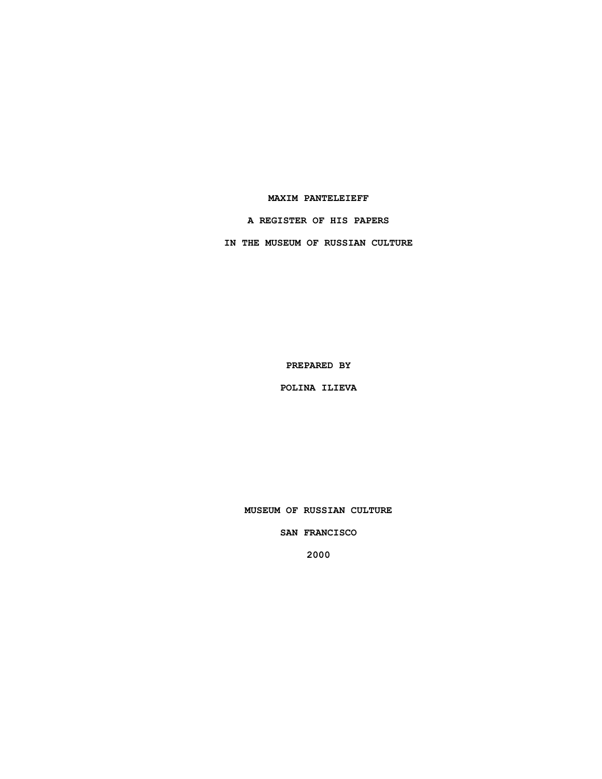### **MAXIM PANTELEIEFF**

**A REGISTER OF HIS PAPERS**

**IN THE MUSEUM OF RUSSIAN CULTURE**

**PREPARED BY**

**POLINA ILIEVA**

**MUSEUM OF RUSSIAN CULTURE**

**SAN FRANCISCO**

**2000**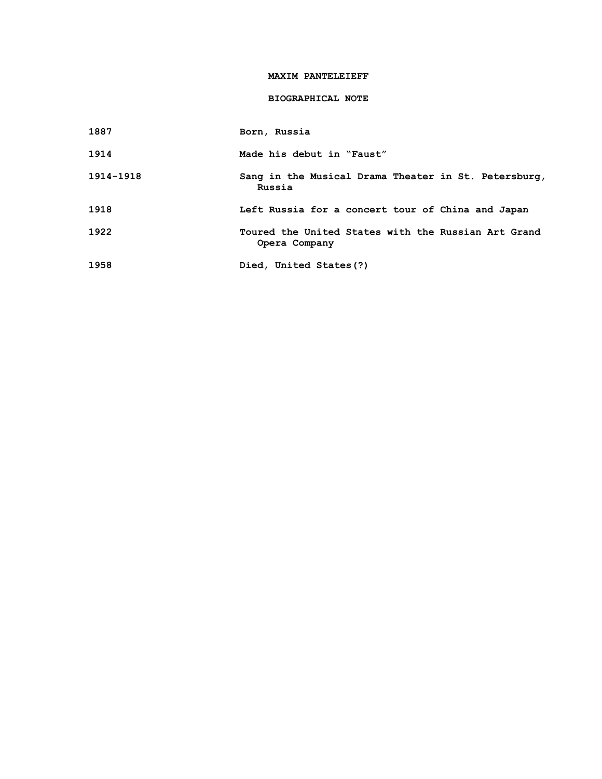### **MAXIM PANTELEIEFF**

# **BIOGRAPHICAL NOTE**

| 1887 |  | Born, Russia |
|------|--|--------------|
|------|--|--------------|

| 1914 |  |  |  | Made his debut in "Faust" |
|------|--|--|--|---------------------------|
|------|--|--|--|---------------------------|

- **1914-1918 Sang in the Musical Drama Theater in St. Petersburg, Russia**
- **1918 Left Russia for a concert tour of China and Japan**

**1922 Toured the United States with the Russian Art Grand Opera Company**

**1958 Died, United States(?)**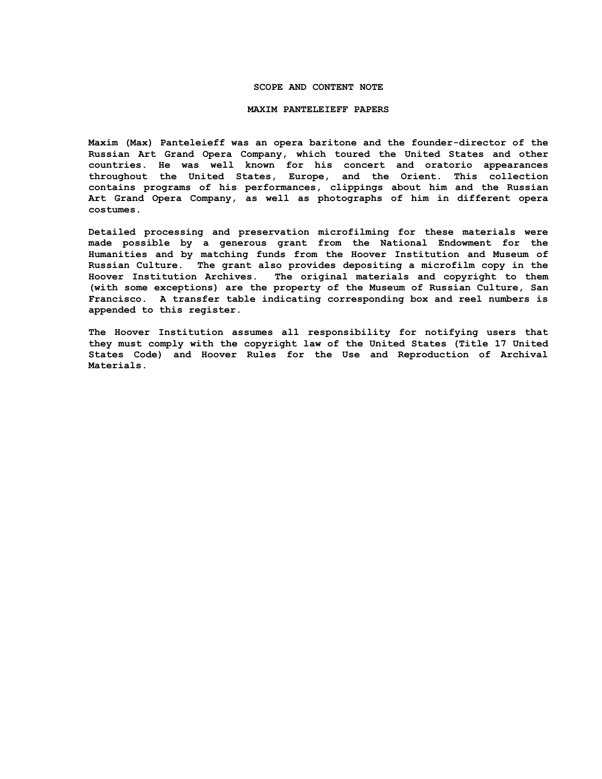### **SCOPE AND CONTENT NOTE**

#### **MAXIM PANTELEIEFF PAPERS**

**Maxim (Max) Panteleieff was an opera baritone and the founder-director of the Russian Art Grand Opera Company, which toured the United States and other countries. He was well known for his concert and oratorio appearances throughout the United States, Europe, and the Orient. This collection contains programs of his performances, clippings about him and the Russian Art Grand Opera Company, as well as photographs of him in different opera costumes.** 

**Detailed processing and preservation microfilming for these materials were made possible by a generous grant from the National Endowment for the Humanities and by matching funds from the Hoover Institution and Museum of Russian Culture. The grant also provides depositing a microfilm copy in the Hoover Institution Archives. The original materials and copyright to them (with some exceptions) are the property of the Museum of Russian Culture, San Francisco. A transfer table indicating corresponding box and reel numbers is appended to this register.**

**The Hoover Institution assumes all responsibility for notifying users that they must comply with the copyright law of the United States (Title 17 United States Code) and Hoover Rules for the Use and Reproduction of Archival Materials.**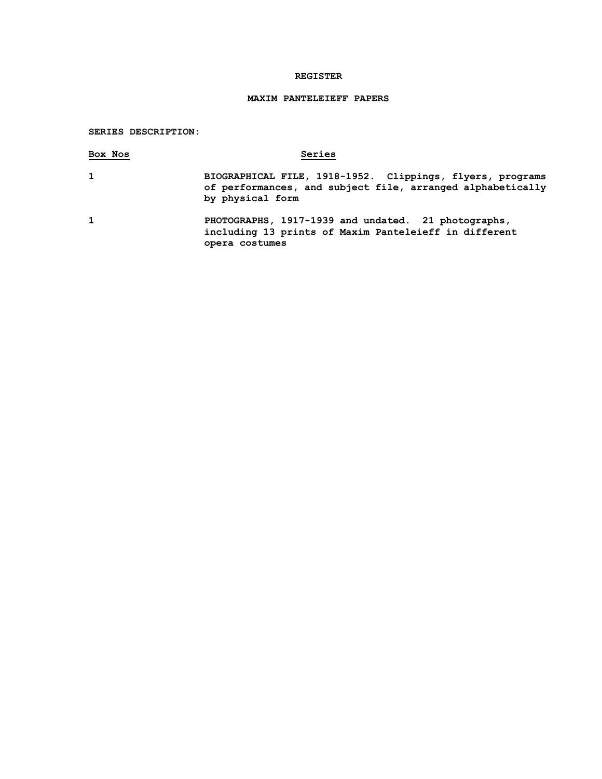## **REGISTER**

## **MAXIM PANTELEIEFF PAPERS**

### **SERIES DESCRIPTION:**

| Box Nos | Series                                                                                                                                      |
|---------|---------------------------------------------------------------------------------------------------------------------------------------------|
| 1       | BIOGRAPHICAL FILE, 1918-1952. Clippings, flyers, programs<br>of performances, and subject file, arranged alphabetically<br>by physical form |
| 1       | PHOTOGRAPHS, 1917-1939 and undated. 21 photographs,<br>including 13 prints of Maxim Panteleieff in different                                |

**opera costumes**